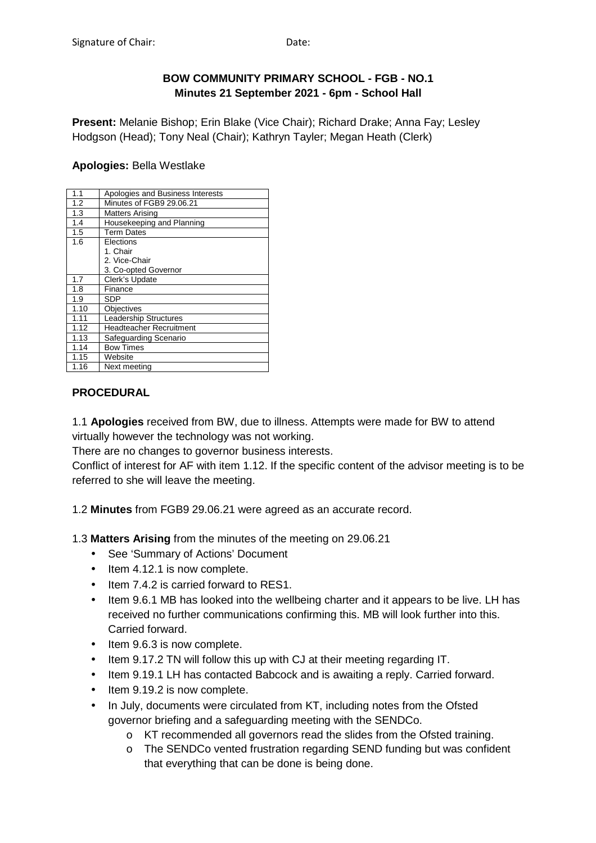# **BOW COMMUNITY PRIMARY SCHOOL - FGB - NO.1 Minutes 21 September 2021 - 6pm - School Hall**

**Present:** Melanie Bishop; Erin Blake (Vice Chair); Richard Drake; Anna Fay; Lesley Hodgson (Head); Tony Neal (Chair); Kathryn Tayler; Megan Heath (Clerk)

## **Apologies:** Bella Westlake

| 1.1  | Apologies and Business Interests |
|------|----------------------------------|
| 1.2  | Minutes of FGB9 29.06.21         |
| 1.3  | <b>Matters Arising</b>           |
| 1.4  | Housekeeping and Planning        |
| 1.5  | <b>Term Dates</b>                |
| 1.6  | Elections                        |
|      | 1. Chair                         |
|      | 2. Vice-Chair                    |
|      | 3. Co-opted Governor             |
| 1.7  | Clerk's Update                   |
| 1.8  | Finance                          |
| 1.9  | <b>SDP</b>                       |
| 1.10 | <b>Objectives</b>                |
| 1.11 | <b>Leadership Structures</b>     |
| 1.12 | Headteacher Recruitment          |
| 1.13 | Safeguarding Scenario            |
| 1.14 | <b>Bow Times</b>                 |
| 1.15 | Website                          |
| 1.16 | Next meeting                     |

# **PROCEDURAL**

1.1 **Apologies** received from BW, due to illness. Attempts were made for BW to attend

virtually however the technology was not working.

There are no changes to governor business interests.

Conflict of interest for AF with item 1.12. If the specific content of the advisor meeting is to be referred to she will leave the meeting.

1.2 **Minutes** from FGB9 29.06.21 were agreed as an accurate record.

1.3 **Matters Arising** from the minutes of the meeting on 29.06.21

- See 'Summary of Actions' Document
- Item 4.12.1 is now complete.
- Item 7.4.2 is carried forward to RES1.
- Item 9.6.1 MB has looked into the wellbeing charter and it appears to be live. LH has received no further communications confirming this. MB will look further into this. Carried forward.
- Item 9.6.3 is now complete.
- Item 9.17.2 TN will follow this up with CJ at their meeting regarding IT.
- Item 9.19.1 LH has contacted Babcock and is awaiting a reply. Carried forward.
- Item 9.19.2 is now complete.
- In July, documents were circulated from KT, including notes from the Ofsted governor briefing and a safeguarding meeting with the SENDCo.
	- o KT recommended all governors read the slides from the Ofsted training.
	- o The SENDCo vented frustration regarding SEND funding but was confident that everything that can be done is being done.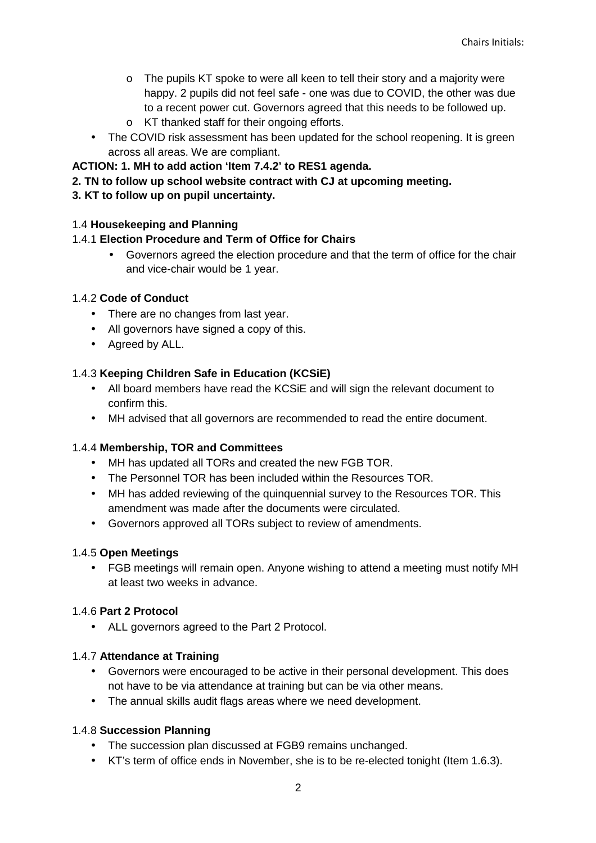- o The pupils KT spoke to were all keen to tell their story and a majority were happy. 2 pupils did not feel safe - one was due to COVID, the other was due to a recent power cut. Governors agreed that this needs to be followed up.
- o KT thanked staff for their ongoing efforts.
- The COVID risk assessment has been updated for the school reopening. It is green across all areas. We are compliant.

**ACTION: 1. MH to add action 'Item 7.4.2' to RES1 agenda.** 

**2. TN to follow up school website contract with CJ at upcoming meeting.** 

### **3. KT to follow up on pupil uncertainty.**

### 1.4 **Housekeeping and Planning**

### 1.4.1 **Election Procedure and Term of Office for Chairs**

• Governors agreed the election procedure and that the term of office for the chair and vice-chair would be 1 year.

#### 1.4.2 **Code of Conduct**

- There are no changes from last year.
- All governors have signed a copy of this.
- Agreed by ALL.

### 1.4.3 **Keeping Children Safe in Education (KCSiE)**

- All board members have read the KCSiE and will sign the relevant document to confirm this.
- MH advised that all governors are recommended to read the entire document.

#### 1.4.4 **Membership, TOR and Committees**

- MH has updated all TORs and created the new FGB TOR.
- The Personnel TOR has been included within the Resources TOR.
- MH has added reviewing of the quinquennial survey to the Resources TOR. This amendment was made after the documents were circulated.
- Governors approved all TORs subject to review of amendments.

#### 1.4.5 **Open Meetings**

• FGB meetings will remain open. Anyone wishing to attend a meeting must notify MH at least two weeks in advance.

#### 1.4.6 **Part 2 Protocol**

• ALL governors agreed to the Part 2 Protocol.

#### 1.4.7 **Attendance at Training**

- Governors were encouraged to be active in their personal development. This does not have to be via attendance at training but can be via other means.
- The annual skills audit flags areas where we need development.

## 1.4.8 **Succession Planning**

- The succession plan discussed at FGB9 remains unchanged.
- KT's term of office ends in November, she is to be re-elected tonight (Item 1.6.3).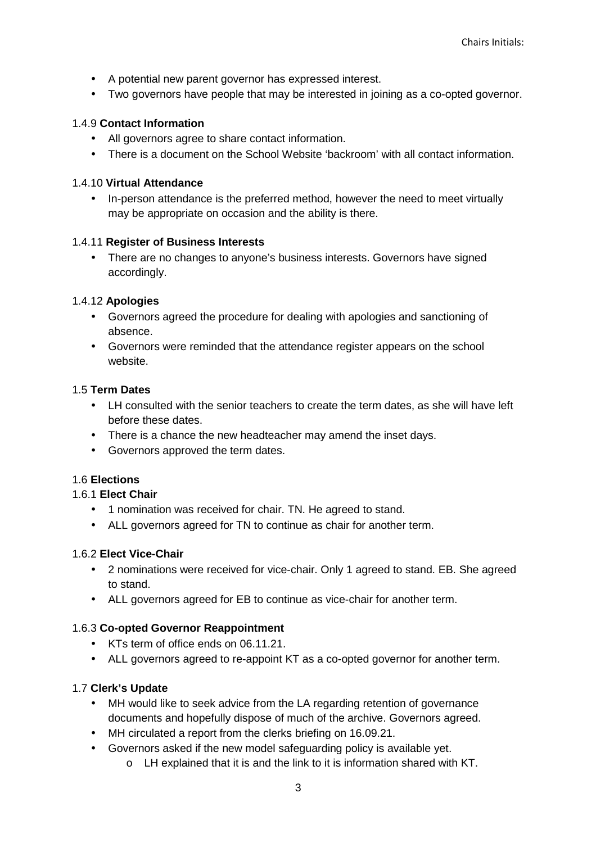- A potential new parent governor has expressed interest.
- Two governors have people that may be interested in joining as a co-opted governor.

#### 1.4.9 **Contact Information**

- All governors agree to share contact information.
- There is a document on the School Website 'backroom' with all contact information.

#### 1.4.10 **Virtual Attendance**

• In-person attendance is the preferred method, however the need to meet virtually may be appropriate on occasion and the ability is there.

#### 1.4.11 **Register of Business Interests**

• There are no changes to anyone's business interests. Governors have signed accordingly.

### 1.4.12 **Apologies**

- Governors agreed the procedure for dealing with apologies and sanctioning of absence.
- Governors were reminded that the attendance register appears on the school website.

#### 1.5 **Term Dates**

- LH consulted with the senior teachers to create the term dates, as she will have left before these dates.
- There is a chance the new headteacher may amend the inset days.
- Governors approved the term dates.

### 1.6 **Elections**

#### 1.6.1 **Elect Chair**

- 1 nomination was received for chair. TN. He agreed to stand.
- ALL governors agreed for TN to continue as chair for another term.

#### 1.6.2 **Elect Vice-Chair**

- 2 nominations were received for vice-chair. Only 1 agreed to stand. EB. She agreed to stand.
- ALL governors agreed for EB to continue as vice-chair for another term.

#### 1.6.3 **Co-opted Governor Reappointment**

- KTs term of office ends on 06.11.21.
- ALL governors agreed to re-appoint KT as a co-opted governor for another term.

## 1.7 **Clerk's Update**

- MH would like to seek advice from the LA regarding retention of governance documents and hopefully dispose of much of the archive. Governors agreed.
- MH circulated a report from the clerks briefing on 16.09.21.
- Governors asked if the new model safeguarding policy is available yet.
	- o LH explained that it is and the link to it is information shared with KT.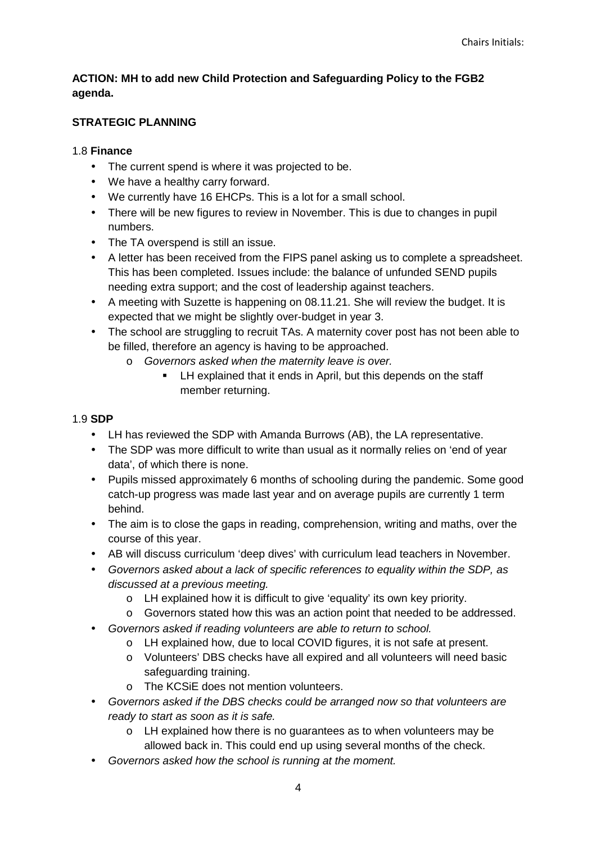# **ACTION: MH to add new Child Protection and Safeguarding Policy to the FGB2 agenda.**

# **STRATEGIC PLANNING**

### 1.8 **Finance**

- The current spend is where it was projected to be.
- We have a healthy carry forward.
- We currently have 16 EHCPs. This is a lot for a small school.
- There will be new figures to review in November. This is due to changes in pupil numbers.
- The TA overspend is still an issue.
- A letter has been received from the FIPS panel asking us to complete a spreadsheet. This has been completed. Issues include: the balance of unfunded SEND pupils needing extra support; and the cost of leadership against teachers.
- A meeting with Suzette is happening on 08.11.21. She will review the budget. It is expected that we might be slightly over-budget in year 3.
- The school are struggling to recruit TAs. A maternity cover post has not been able to be filled, therefore an agency is having to be approached.
	- o Governors asked when the maternity leave is over.
		- LH explained that it ends in April, but this depends on the staff member returning.

### 1.9 **SDP**

- LH has reviewed the SDP with Amanda Burrows (AB), the LA representative.
- The SDP was more difficult to write than usual as it normally relies on 'end of year data', of which there is none.
- Pupils missed approximately 6 months of schooling during the pandemic. Some good catch-up progress was made last year and on average pupils are currently 1 term behind.
- The aim is to close the gaps in reading, comprehension, writing and maths, over the course of this year.
- AB will discuss curriculum 'deep dives' with curriculum lead teachers in November.
- Governors asked about a lack of specific references to equality within the SDP, as discussed at a previous meeting.
	- o LH explained how it is difficult to give 'equality' its own key priority.
	- o Governors stated how this was an action point that needed to be addressed.
- Governors asked if reading volunteers are able to return to school.
	- o LH explained how, due to local COVID figures, it is not safe at present.
		- o Volunteers' DBS checks have all expired and all volunteers will need basic safeguarding training.
		- o The KCSiE does not mention volunteers.
- Governors asked if the DBS checks could be arranged now so that volunteers are ready to start as soon as it is safe.
	- o LH explained how there is no guarantees as to when volunteers may be allowed back in. This could end up using several months of the check.
- Governors asked how the school is running at the moment.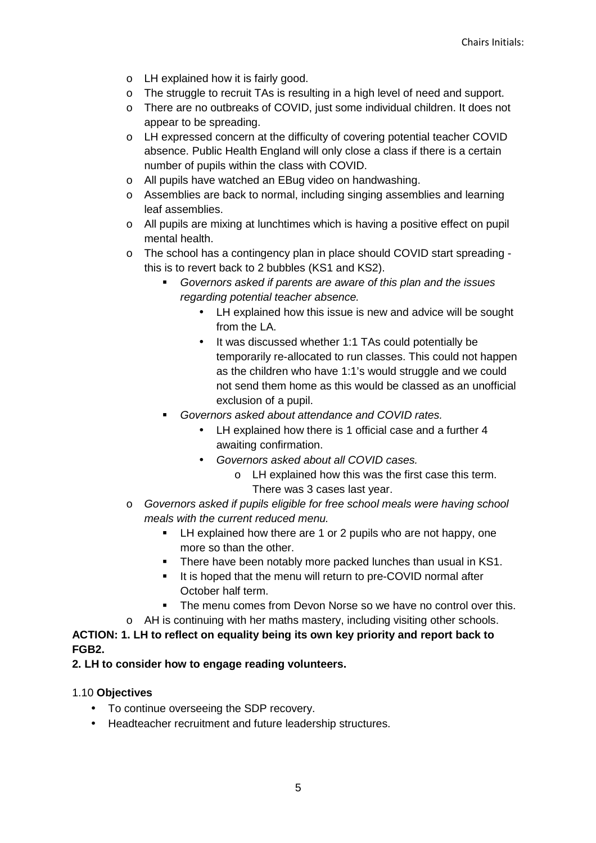- o LH explained how it is fairly good.
- o The struggle to recruit TAs is resulting in a high level of need and support.
- o There are no outbreaks of COVID, just some individual children. It does not appear to be spreading.
- o LH expressed concern at the difficulty of covering potential teacher COVID absence. Public Health England will only close a class if there is a certain number of pupils within the class with COVID.
- o All pupils have watched an EBug video on handwashing.
- o Assemblies are back to normal, including singing assemblies and learning leaf assemblies.
- o All pupils are mixing at lunchtimes which is having a positive effect on pupil mental health.
- o The school has a contingency plan in place should COVID start spreading this is to revert back to 2 bubbles (KS1 and KS2).
	- Governors asked if parents are aware of this plan and the issues regarding potential teacher absence.
		- LH explained how this issue is new and advice will be sought from the LA
		- It was discussed whether 1:1 TAs could potentially be temporarily re-allocated to run classes. This could not happen as the children who have 1:1's would struggle and we could not send them home as this would be classed as an unofficial exclusion of a pupil.
	- Governors asked about attendance and COVID rates.
		- LH explained how there is 1 official case and a further 4 awaiting confirmation.
		- Governors asked about all COVID cases.
			- o LH explained how this was the first case this term. There was 3 cases last year.
- o Governors asked if pupils eligible for free school meals were having school meals with the current reduced menu.
	- **EXECT** LH explained how there are 1 or 2 pupils who are not happy, one more so than the other.
	- There have been notably more packed lunches than usual in KS1.
	- It is hoped that the menu will return to pre-COVID normal after October half term.
	- The menu comes from Devon Norse so we have no control over this.

o AH is continuing with her maths mastery, including visiting other schools.

## **ACTION: 1. LH to reflect on equality being its own key priority and report back to FGB2.**

**2. LH to consider how to engage reading volunteers.**

## 1.10 **Objectives**

- To continue overseeing the SDP recovery.
- Headteacher recruitment and future leadership structures.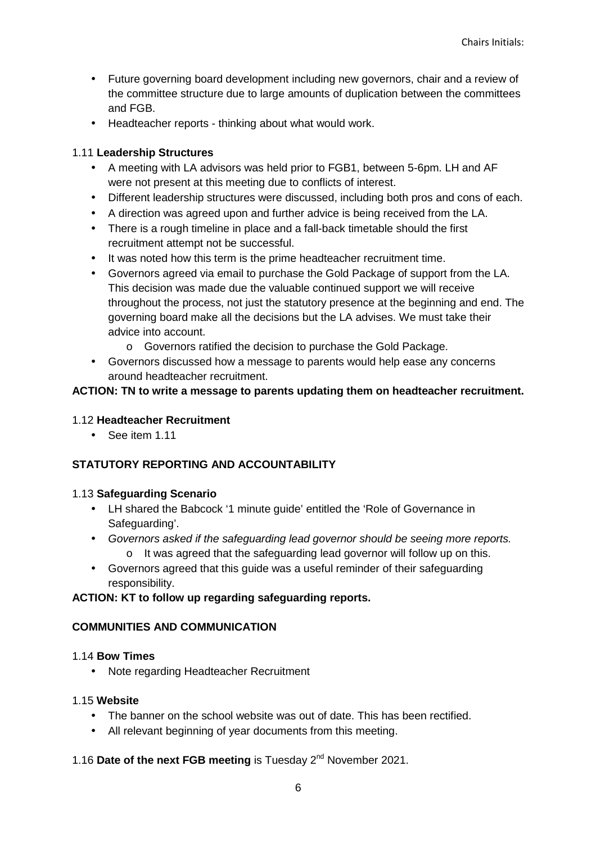- Future governing board development including new governors, chair and a review of the committee structure due to large amounts of duplication between the committees and FGB.
- Headteacher reports thinking about what would work.

## 1.11 **Leadership Structures**

- A meeting with LA advisors was held prior to FGB1, between 5-6pm. LH and AF were not present at this meeting due to conflicts of interest.
- Different leadership structures were discussed, including both pros and cons of each.
- A direction was agreed upon and further advice is being received from the LA.
- There is a rough timeline in place and a fall-back timetable should the first recruitment attempt not be successful.
- It was noted how this term is the prime headteacher recruitment time.
- Governors agreed via email to purchase the Gold Package of support from the LA. This decision was made due the valuable continued support we will receive throughout the process, not just the statutory presence at the beginning and end. The governing board make all the decisions but the LA advises. We must take their advice into account.
	- o Governors ratified the decision to purchase the Gold Package.
- Governors discussed how a message to parents would help ease any concerns around headteacher recruitment.

# **ACTION: TN to write a message to parents updating them on headteacher recruitment.**

## 1.12 **Headteacher Recruitment**

• See item 1.11

# **STATUTORY REPORTING AND ACCOUNTABILITY**

## 1.13 **Safeguarding Scenario**

- LH shared the Babcock '1 minute guide' entitled the 'Role of Governance in Safeguarding'.
- Governors asked if the safeguarding lead governor should be seeing more reports. o It was agreed that the safeguarding lead governor will follow up on this.
- Governors agreed that this guide was a useful reminder of their safeguarding responsibility.

## **ACTION: KT to follow up regarding safeguarding reports.**

## **COMMUNITIES AND COMMUNICATION**

## 1.14 **Bow Times**

• Note regarding Headteacher Recruitment

#### 1.15 **Website**

- The banner on the school website was out of date. This has been rectified.
- All relevant beginning of year documents from this meeting.

## 1.16 Date of the next FGB meeting is Tuesday 2<sup>nd</sup> November 2021.